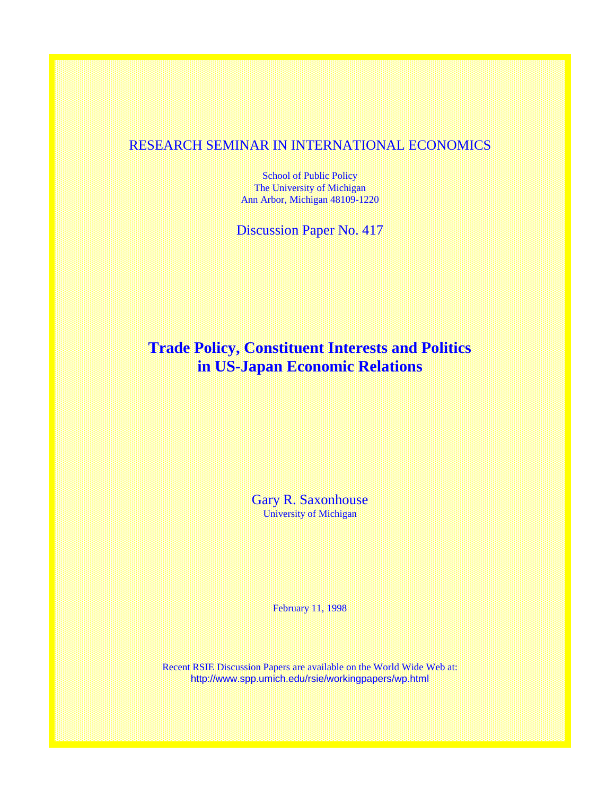## RESEARCH SEMINAR IN INTERNATIONAL ECONOMICS

School of Public Policy The University of Michigan Ann Arbor, Michigan 48109-1220

Discussion Paper No. 417

# **Trade Policy, Constituent Interests and Politics in US-Japan Economic Relations**

Gary R. Saxonhouse University of Michigan

February 11, 1998

Recent RSIE Discussion Papers are available on the World Wide Web at: http://www.spp.umich.edu/rsie/workingpapers/wp.html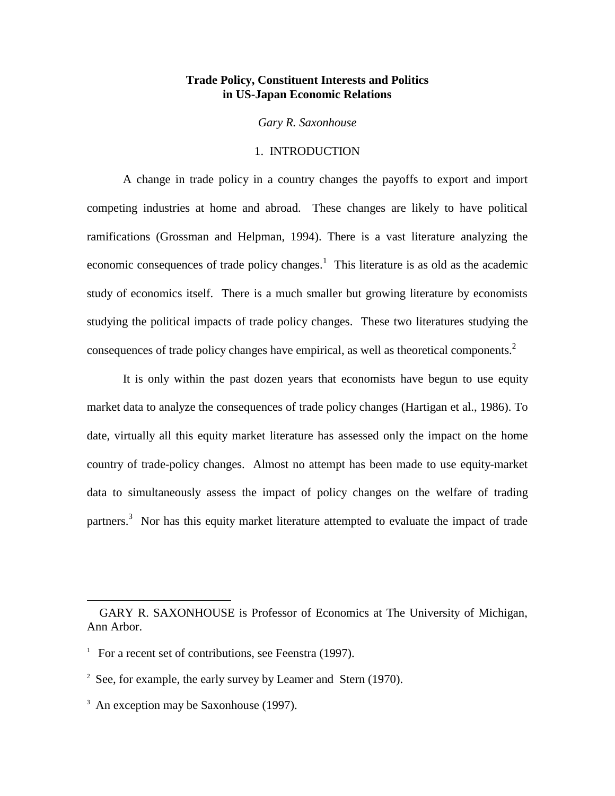#### **Trade Policy, Constituent Interests and Politics in US-Japan Economic Relations**

*Gary R. Saxonhouse*

#### 1. INTRODUCTION

A change in trade policy in a country changes the payoffs to export and import competing industries at home and abroad. These changes are likely to have political ramifications (Grossman and Helpman, 1994). There is a vast literature analyzing the economic consequences of trade policy changes.<sup>1</sup> This literature is as old as the academic study of economics itself. There is a much smaller but growing literature by economists studying the political impacts of trade policy changes. These two literatures studying the consequences of trade policy changes have empirical, as well as theoretical components.2

It is only within the past dozen years that economists have begun to use equity market data to analyze the consequences of trade policy changes (Hartigan et al., 1986). To date, virtually all this equity market literature has assessed only the impact on the home country of trade-policy changes. Almost no attempt has been made to use equity-market data to simultaneously assess the impact of policy changes on the welfare of trading partners.<sup>3</sup> Nor has this equity market literature attempted to evaluate the impact of trade

GARY R. SAXONHOUSE is Professor of Economics at The University of Michigan, Ann Arbor.

<sup>&</sup>lt;sup>1</sup> For a recent set of contributions, see Feenstra (1997).

 $2\text{ See}$ , for example, the early survey by Leamer and Stern (1970).

<sup>&</sup>lt;sup>3</sup> An exception may be Saxonhouse (1997).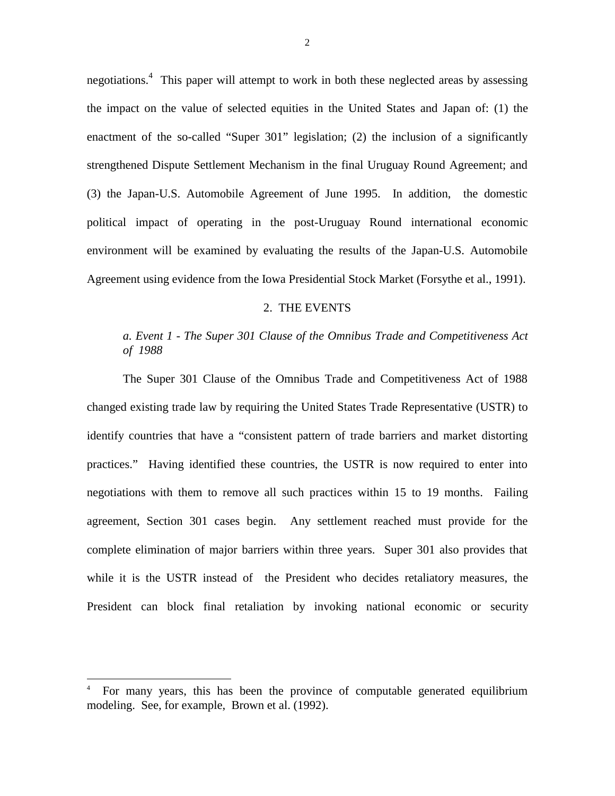negotiations.<sup>4</sup> This paper will attempt to work in both these neglected areas by assessing the impact on the value of selected equities in the United States and Japan of: (1) the enactment of the so-called "Super 301" legislation; (2) the inclusion of a significantly strengthened Dispute Settlement Mechanism in the final Uruguay Round Agreement; and (3) the Japan-U.S. Automobile Agreement of June 1995. In addition, the domestic political impact of operating in the post-Uruguay Round international economic environment will be examined by evaluating the results of the Japan-U.S. Automobile Agreement using evidence from the Iowa Presidential Stock Market (Forsythe et al., 1991).

#### 2. THE EVENTS

## *a. Event 1 - The Super 301 Clause of the Omnibus Trade and Competitiveness Act of 1988*

The Super 301 Clause of the Omnibus Trade and Competitiveness Act of 1988 changed existing trade law by requiring the United States Trade Representative (USTR) to identify countries that have a "consistent pattern of trade barriers and market distorting practices." Having identified these countries, the USTR is now required to enter into negotiations with them to remove all such practices within 15 to 19 months. Failing agreement, Section 301 cases begin. Any settlement reached must provide for the complete elimination of major barriers within three years. Super 301 also provides that while it is the USTR instead of the President who decides retaliatory measures, the President can block final retaliation by invoking national economic or security

<sup>4</sup> For many years, this has been the province of computable generated equilibrium modeling. See, for example, Brown et al. (1992).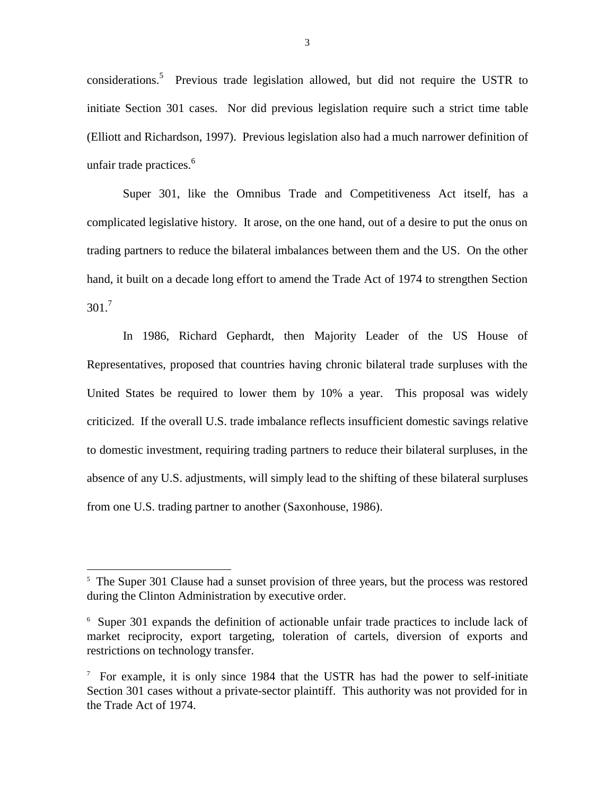considerations.<sup>5</sup> Previous trade legislation allowed, but did not require the USTR to initiate Section 301 cases. Nor did previous legislation require such a strict time table (Elliott and Richardson, 1997). Previous legislation also had a much narrower definition of unfair trade practices.<sup>6</sup>

Super 301, like the Omnibus Trade and Competitiveness Act itself, has a complicated legislative history. It arose, on the one hand, out of a desire to put the onus on trading partners to reduce the bilateral imbalances between them and the US. On the other hand, it built on a decade long effort to amend the Trade Act of 1974 to strengthen Section  $301<sup>7</sup>$ 

In 1986, Richard Gephardt, then Majority Leader of the US House of Representatives, proposed that countries having chronic bilateral trade surpluses with the United States be required to lower them by 10% a year. This proposal was widely criticized. If the overall U.S. trade imbalance reflects insufficient domestic savings relative to domestic investment, requiring trading partners to reduce their bilateral surpluses, in the absence of any U.S. adjustments, will simply lead to the shifting of these bilateral surpluses from one U.S. trading partner to another (Saxonhouse, 1986).

<sup>&</sup>lt;sup>5</sup> The Super 301 Clause had a sunset provision of three years, but the process was restored during the Clinton Administration by executive order.

<sup>6</sup> Super 301 expands the definition of actionable unfair trade practices to include lack of market reciprocity, export targeting, toleration of cartels, diversion of exports and restrictions on technology transfer.

 $\frac{7}{1}$  For example, it is only since 1984 that the USTR has had the power to self-initiate Section 301 cases without a private-sector plaintiff. This authority was not provided for in the Trade Act of 1974.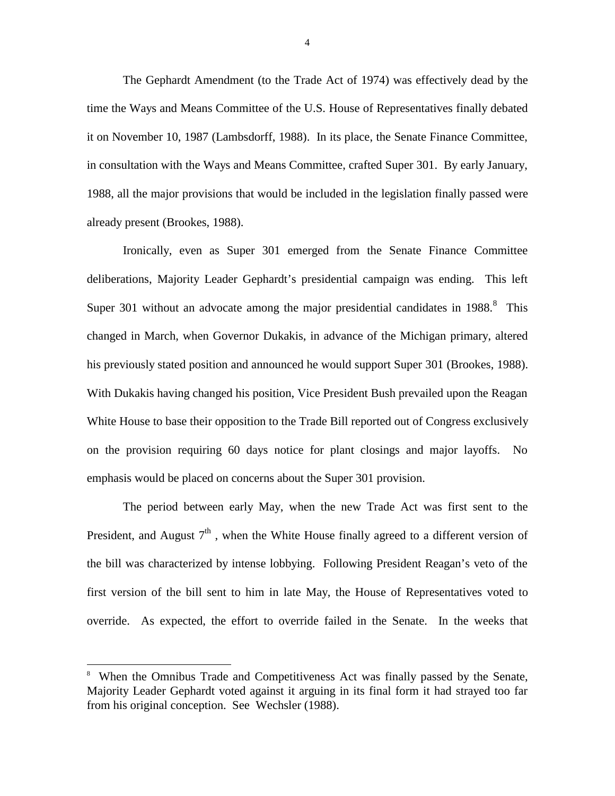The Gephardt Amendment (to the Trade Act of 1974) was effectively dead by the time the Ways and Means Committee of the U.S. House of Representatives finally debated it on November 10, 1987 (Lambsdorff, 1988). In its place, the Senate Finance Committee, in consultation with the Ways and Means Committee, crafted Super 301. By early January, 1988, all the major provisions that would be included in the legislation finally passed were already present (Brookes, 1988).

Ironically, even as Super 301 emerged from the Senate Finance Committee deliberations, Majority Leader Gephardt's presidential campaign was ending. This left Super 301 without an advocate among the major presidential candidates in  $1988$ .<sup>8</sup> This changed in March, when Governor Dukakis, in advance of the Michigan primary, altered his previously stated position and announced he would support Super 301 (Brookes, 1988). With Dukakis having changed his position, Vice President Bush prevailed upon the Reagan White House to base their opposition to the Trade Bill reported out of Congress exclusively on the provision requiring 60 days notice for plant closings and major layoffs. No emphasis would be placed on concerns about the Super 301 provision.

The period between early May, when the new Trade Act was first sent to the President, and August  $7<sup>th</sup>$ , when the White House finally agreed to a different version of the bill was characterized by intense lobbying. Following President Reagan's veto of the first version of the bill sent to him in late May, the House of Representatives voted to override. As expected, the effort to override failed in the Senate. In the weeks that

 $\overline{a}$ 

<sup>8</sup> When the Omnibus Trade and Competitiveness Act was finally passed by the Senate, Majority Leader Gephardt voted against it arguing in its final form it had strayed too far from his original conception. See Wechsler (1988).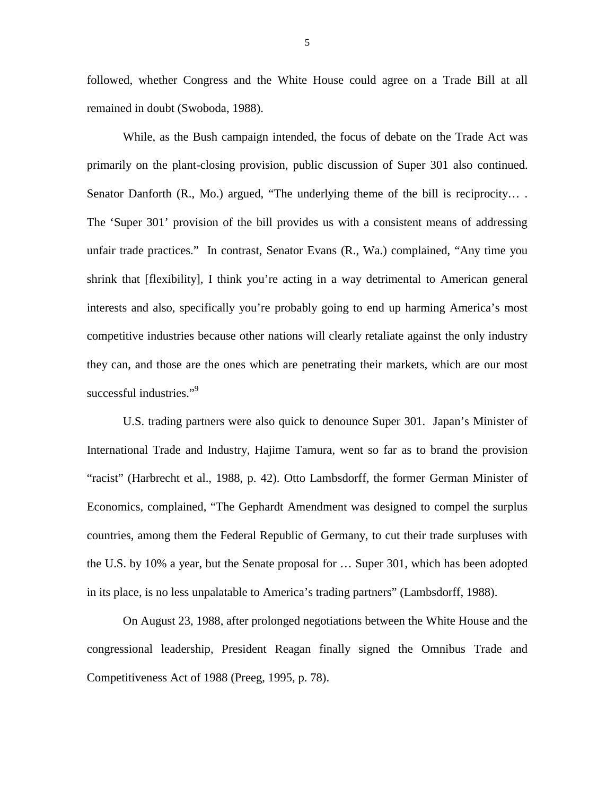followed, whether Congress and the White House could agree on a Trade Bill at all remained in doubt (Swoboda, 1988).

While, as the Bush campaign intended, the focus of debate on the Trade Act was primarily on the plant-closing provision, public discussion of Super 301 also continued. Senator Danforth (R., Mo.) argued, "The underlying theme of the bill is reciprocity.... The 'Super 301' provision of the bill provides us with a consistent means of addressing unfair trade practices." In contrast, Senator Evans (R., Wa.) complained, "Any time you shrink that [flexibility], I think you're acting in a way detrimental to American general interests and also, specifically you're probably going to end up harming America's most competitive industries because other nations will clearly retaliate against the only industry they can, and those are the ones which are penetrating their markets, which are our most successful industries."<sup>9</sup>

U.S. trading partners were also quick to denounce Super 301. Japan's Minister of International Trade and Industry, Hajime Tamura, went so far as to brand the provision "racist" (Harbrecht et al., 1988, p. 42). Otto Lambsdorff, the former German Minister of Economics, complained, "The Gephardt Amendment was designed to compel the surplus countries, among them the Federal Republic of Germany, to cut their trade surpluses with the U.S. by 10% a year, but the Senate proposal for … Super 301, which has been adopted in its place, is no less unpalatable to America's trading partners" (Lambsdorff, 1988).

On August 23, 1988, after prolonged negotiations between the White House and the congressional leadership, President Reagan finally signed the Omnibus Trade and Competitiveness Act of 1988 (Preeg, 1995, p. 78).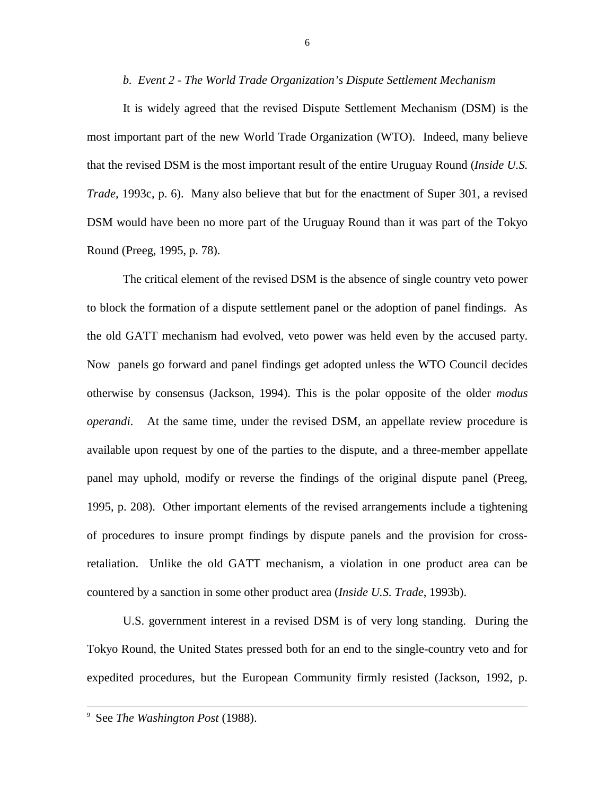#### *b. Event 2 - The World Trade Organization's Dispute Settlement Mechanism*

It is widely agreed that the revised Dispute Settlement Mechanism (DSM) is the most important part of the new World Trade Organization (WTO). Indeed, many believe that the revised DSM is the most important result of the entire Uruguay Round (*Inside U.S. Trade*, 1993c, p. 6). Many also believe that but for the enactment of Super 301, a revised DSM would have been no more part of the Uruguay Round than it was part of the Tokyo Round (Preeg, 1995, p. 78).

The critical element of the revised DSM is the absence of single country veto power to block the formation of a dispute settlement panel or the adoption of panel findings. As the old GATT mechanism had evolved, veto power was held even by the accused party. Now panels go forward and panel findings get adopted unless the WTO Council decides otherwise by consensus (Jackson, 1994). This is the polar opposite of the older *modus operandi*. At the same time, under the revised DSM, an appellate review procedure is available upon request by one of the parties to the dispute, and a three-member appellate panel may uphold, modify or reverse the findings of the original dispute panel (Preeg, 1995, p. 208). Other important elements of the revised arrangements include a tightening of procedures to insure prompt findings by dispute panels and the provision for crossretaliation. Unlike the old GATT mechanism, a violation in one product area can be countered by a sanction in some other product area (*Inside U.S. Trade*, 1993b).

U.S. government interest in a revised DSM is of very long standing. During the Tokyo Round, the United States pressed both for an end to the single-country veto and for expedited procedures, but the European Community firmly resisted (Jackson, 1992, p.

 <sup>9</sup> See *The Washington Post* (1988).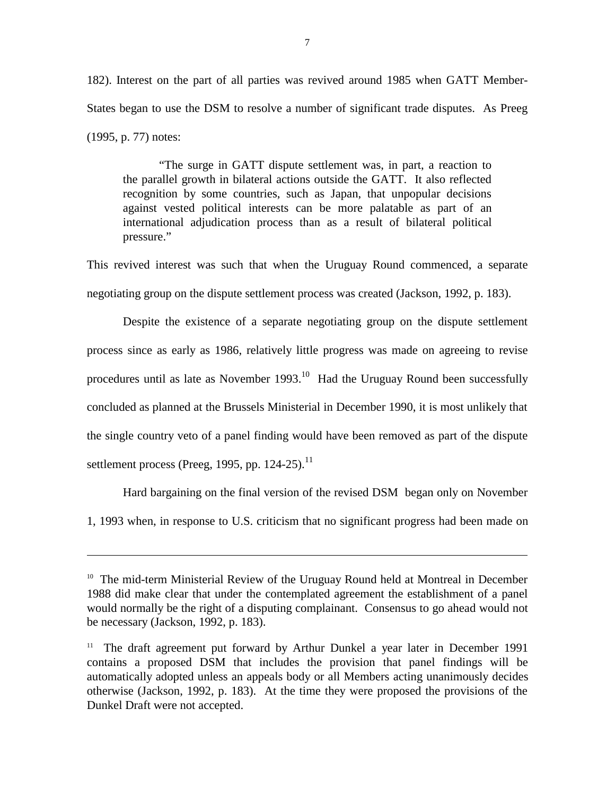182). Interest on the part of all parties was revived around 1985 when GATT Member-States began to use the DSM to resolve a number of significant trade disputes. As Preeg (1995, p. 77) notes:

"The surge in GATT dispute settlement was, in part, a reaction to the parallel growth in bilateral actions outside the GATT. It also reflected recognition by some countries, such as Japan, that unpopular decisions against vested political interests can be more palatable as part of an international adjudication process than as a result of bilateral political pressure."

This revived interest was such that when the Uruguay Round commenced, a separate negotiating group on the dispute settlement process was created (Jackson, 1992, p. 183).

Despite the existence of a separate negotiating group on the dispute settlement process since as early as 1986, relatively little progress was made on agreeing to revise procedures until as late as November 1993.10 Had the Uruguay Round been successfully concluded as planned at the Brussels Ministerial in December 1990, it is most unlikely that the single country veto of a panel finding would have been removed as part of the dispute settlement process (Preeg, 1995, pp. 124-25). $^{11}$ 

Hard bargaining on the final version of the revised DSM began only on November

1, 1993 when, in response to U.S. criticism that no significant progress had been made on

 $\overline{a}$ 

<sup>&</sup>lt;sup>10</sup> The mid-term Ministerial Review of the Uruguay Round held at Montreal in December 1988 did make clear that under the contemplated agreement the establishment of a panel would normally be the right of a disputing complainant. Consensus to go ahead would not be necessary (Jackson, 1992, p. 183).

<sup>&</sup>lt;sup>11</sup> The draft agreement put forward by Arthur Dunkel a year later in December 1991 contains a proposed DSM that includes the provision that panel findings will be automatically adopted unless an appeals body or all Members acting unanimously decides otherwise (Jackson, 1992, p. 183). At the time they were proposed the provisions of the Dunkel Draft were not accepted.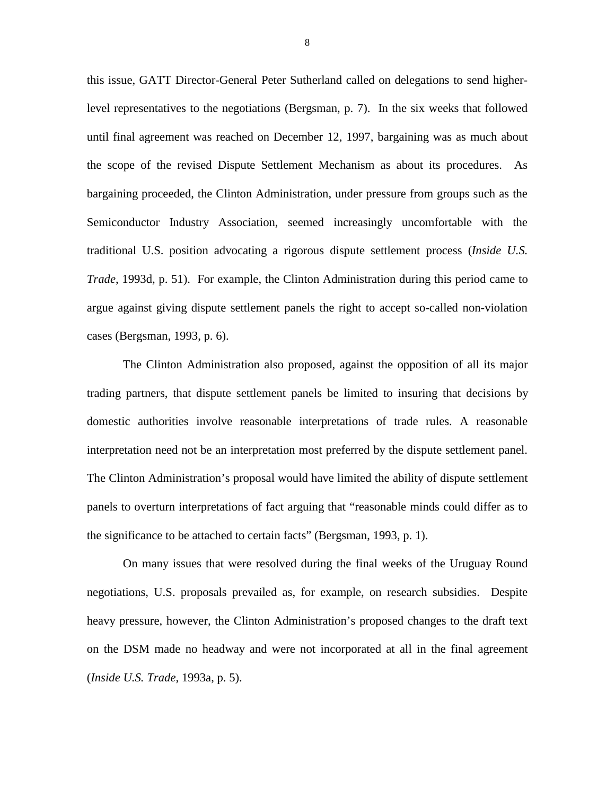this issue, GATT Director-General Peter Sutherland called on delegations to send higherlevel representatives to the negotiations (Bergsman, p. 7). In the six weeks that followed until final agreement was reached on December 12, 1997, bargaining was as much about the scope of the revised Dispute Settlement Mechanism as about its procedures. As bargaining proceeded, the Clinton Administration, under pressure from groups such as the Semiconductor Industry Association, seemed increasingly uncomfortable with the traditional U.S. position advocating a rigorous dispute settlement process (*Inside U.S. Trade*, 1993d, p. 51). For example, the Clinton Administration during this period came to argue against giving dispute settlement panels the right to accept so-called non-violation cases (Bergsman, 1993, p. 6).

The Clinton Administration also proposed, against the opposition of all its major trading partners, that dispute settlement panels be limited to insuring that decisions by domestic authorities involve reasonable interpretations of trade rules. A reasonable interpretation need not be an interpretation most preferred by the dispute settlement panel. The Clinton Administration's proposal would have limited the ability of dispute settlement panels to overturn interpretations of fact arguing that "reasonable minds could differ as to the significance to be attached to certain facts" (Bergsman, 1993, p. 1).

On many issues that were resolved during the final weeks of the Uruguay Round negotiations, U.S. proposals prevailed as, for example, on research subsidies. Despite heavy pressure, however, the Clinton Administration's proposed changes to the draft text on the DSM made no headway and were not incorporated at all in the final agreement (*Inside U.S. Trade*, 1993a, p. 5).

8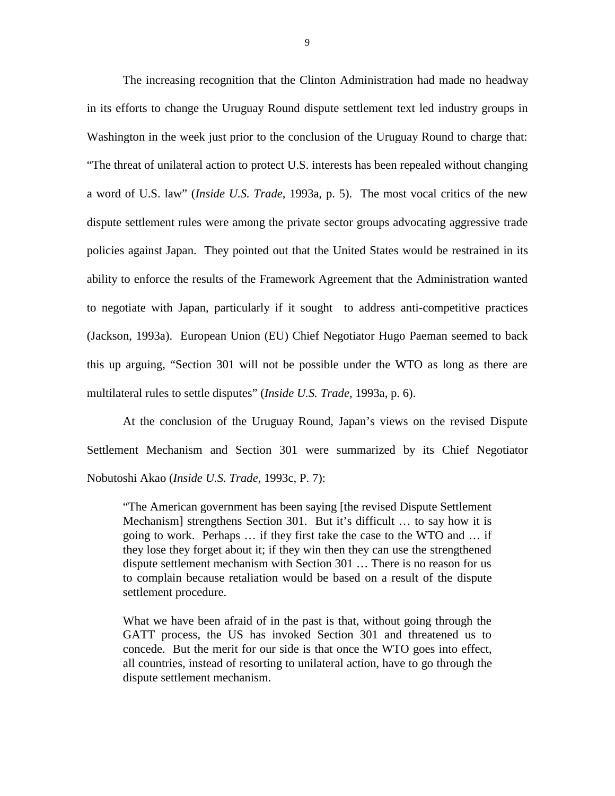The increasing recognition that the Clinton Administration had made no headway in its efforts to change the Uruguay Round dispute settlement text led industry groups in Washington in the week just prior to the conclusion of the Uruguay Round to charge that: "The threat of unilateral action to protect U.S. interests has been repealed without changing a word of U.S. law" (*Inside U.S. Trade*, 1993a, p. 5). The most vocal critics of the new dispute settlement rules were among the private sector groups advocating aggressive trade policies against Japan. They pointed out that the United States would be restrained in its ability to enforce the results of the Framework Agreement that the Administration wanted to negotiate with Japan, particularly if it sought to address anti-competitive practices (Jackson, 1993a). European Union (EU) Chief Negotiator Hugo Paeman seemed to back this up arguing, "Section 301 will not be possible under the WTO as long as there are multilateral rules to settle disputes" (*Inside U.S. Trade*, 1993a, p. 6).

At the conclusion of the Uruguay Round, Japan's views on the revised Dispute Settlement Mechanism and Section 301 were summarized by its Chief Negotiator Nobutoshi Akao (*Inside U.S. Trade*, 1993c, P. 7):

"The American government has been saying [the revised Dispute Settlement Mechanism] strengthens Section 301. But it's difficult … to say how it is going to work. Perhaps … if they first take the case to the WTO and … if they lose they forget about it; if they win then they can use the strengthened dispute settlement mechanism with Section 301 … There is no reason for us to complain because retaliation would be based on a result of the dispute settlement procedure.

What we have been afraid of in the past is that, without going through the GATT process, the US has invoked Section 301 and threatened us to concede. But the merit for our side is that once the WTO goes into effect, all countries, instead of resorting to unilateral action, have to go through the dispute settlement mechanism.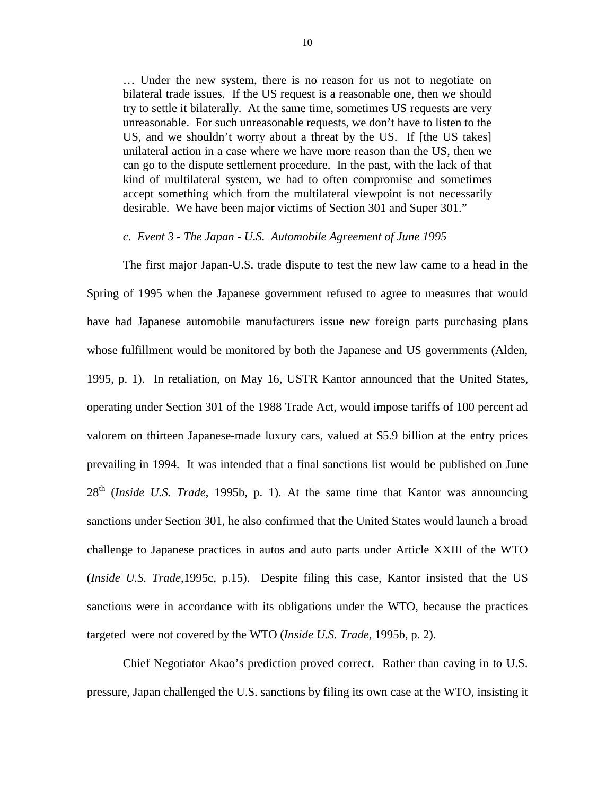… Under the new system, there is no reason for us not to negotiate on bilateral trade issues. If the US request is a reasonable one, then we should try to settle it bilaterally. At the same time, sometimes US requests are very unreasonable. For such unreasonable requests, we don't have to listen to the US, and we shouldn't worry about a threat by the US. If [the US takes] unilateral action in a case where we have more reason than the US, then we can go to the dispute settlement procedure. In the past, with the lack of that kind of multilateral system, we had to often compromise and sometimes accept something which from the multilateral viewpoint is not necessarily desirable. We have been major victims of Section 301 and Super 301."

#### *c. Event 3 - The Japan - U.S. Automobile Agreement of June 1995*

The first major Japan-U.S. trade dispute to test the new law came to a head in the Spring of 1995 when the Japanese government refused to agree to measures that would have had Japanese automobile manufacturers issue new foreign parts purchasing plans whose fulfillment would be monitored by both the Japanese and US governments (Alden, 1995, p. 1). In retaliation, on May 16, USTR Kantor announced that the United States, operating under Section 301 of the 1988 Trade Act, would impose tariffs of 100 percent ad valorem on thirteen Japanese-made luxury cars, valued at \$5.9 billion at the entry prices prevailing in 1994. It was intended that a final sanctions list would be published on June 28th (*Inside U.S. Trade*, 1995b, p. 1). At the same time that Kantor was announcing sanctions under Section 301, he also confirmed that the United States would launch a broad challenge to Japanese practices in autos and auto parts under Article XXIII of the WTO (*Inside U.S. Trade*,1995c, p.15). Despite filing this case, Kantor insisted that the US sanctions were in accordance with its obligations under the WTO, because the practices targeted were not covered by the WTO (*Inside U.S. Trade*, 1995b, p. 2).

Chief Negotiator Akao's prediction proved correct. Rather than caving in to U.S. pressure, Japan challenged the U.S. sanctions by filing its own case at the WTO, insisting it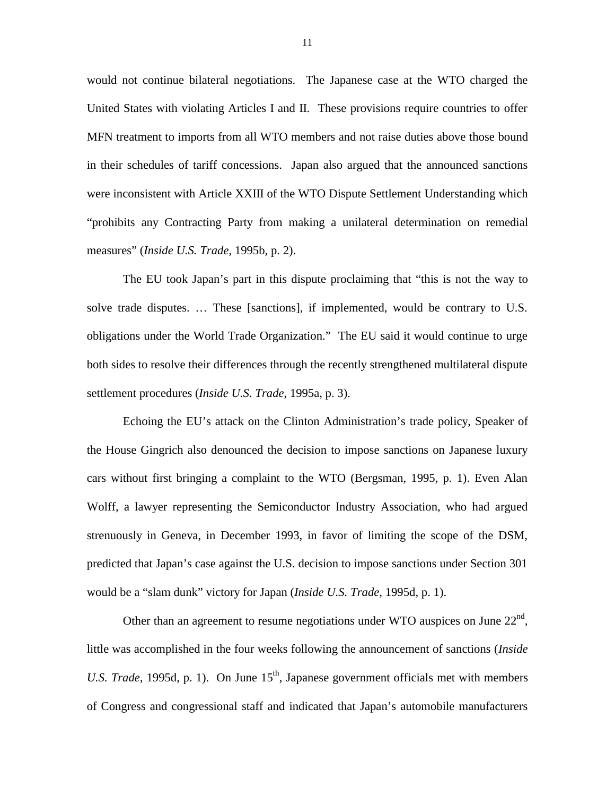would not continue bilateral negotiations. The Japanese case at the WTO charged the United States with violating Articles I and II. These provisions require countries to offer MFN treatment to imports from all WTO members and not raise duties above those bound in their schedules of tariff concessions. Japan also argued that the announced sanctions were inconsistent with Article XXIII of the WTO Dispute Settlement Understanding which "prohibits any Contracting Party from making a unilateral determination on remedial measures" (*Inside U.S. Trade*, 1995b, p. 2).

The EU took Japan's part in this dispute proclaiming that "this is not the way to solve trade disputes. … These [sanctions], if implemented, would be contrary to U.S. obligations under the World Trade Organization." The EU said it would continue to urge both sides to resolve their differences through the recently strengthened multilateral dispute settlement procedures (*Inside U.S. Trade*, 1995a, p. 3).

Echoing the EU's attack on the Clinton Administration's trade policy, Speaker of the House Gingrich also denounced the decision to impose sanctions on Japanese luxury cars without first bringing a complaint to the WTO (Bergsman, 1995, p. 1). Even Alan Wolff, a lawyer representing the Semiconductor Industry Association, who had argued strenuously in Geneva, in December 1993, in favor of limiting the scope of the DSM, predicted that Japan's case against the U.S. decision to impose sanctions under Section 301 would be a "slam dunk" victory for Japan (*Inside U.S. Trade*, 1995d, p. 1).

Other than an agreement to resume negotiations under WTO auspices on June  $22<sup>nd</sup>$ , little was accomplished in the four weeks following the announcement of sanctions (*Inside U.S. Trade*, 1995d, p. 1). On June 15<sup>th</sup>, Japanese government officials met with members of Congress and congressional staff and indicated that Japan's automobile manufacturers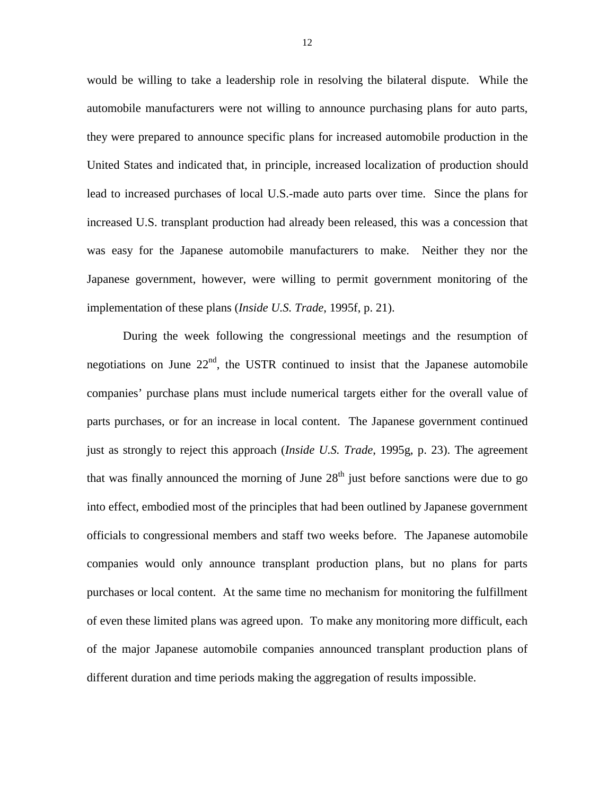would be willing to take a leadership role in resolving the bilateral dispute. While the automobile manufacturers were not willing to announce purchasing plans for auto parts, they were prepared to announce specific plans for increased automobile production in the United States and indicated that, in principle, increased localization of production should lead to increased purchases of local U.S.-made auto parts over time. Since the plans for increased U.S. transplant production had already been released, this was a concession that was easy for the Japanese automobile manufacturers to make. Neither they nor the Japanese government, however, were willing to permit government monitoring of the implementation of these plans (*Inside U.S. Trade*, 1995f, p. 21).

During the week following the congressional meetings and the resumption of negotiations on June  $22<sup>nd</sup>$ , the USTR continued to insist that the Japanese automobile companies' purchase plans must include numerical targets either for the overall value of parts purchases, or for an increase in local content. The Japanese government continued just as strongly to reject this approach (*Inside U.S. Trade*, 1995g, p. 23). The agreement that was finally announced the morning of June  $28<sup>th</sup>$  just before sanctions were due to go into effect, embodied most of the principles that had been outlined by Japanese government officials to congressional members and staff two weeks before. The Japanese automobile companies would only announce transplant production plans, but no plans for parts purchases or local content. At the same time no mechanism for monitoring the fulfillment of even these limited plans was agreed upon. To make any monitoring more difficult, each of the major Japanese automobile companies announced transplant production plans of different duration and time periods making the aggregation of results impossible.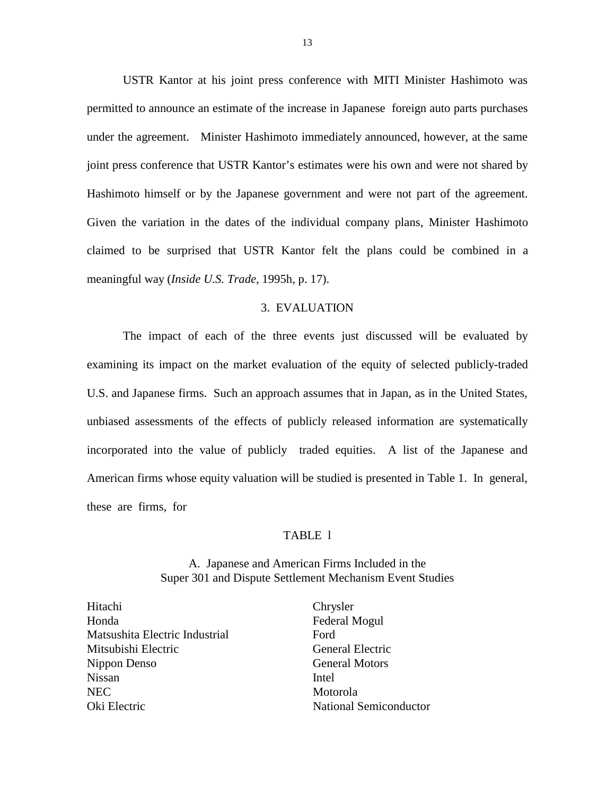USTR Kantor at his joint press conference with MITI Minister Hashimoto was permitted to announce an estimate of the increase in Japanese foreign auto parts purchases under the agreement. Minister Hashimoto immediately announced, however, at the same joint press conference that USTR Kantor's estimates were his own and were not shared by Hashimoto himself or by the Japanese government and were not part of the agreement. Given the variation in the dates of the individual company plans, Minister Hashimoto claimed to be surprised that USTR Kantor felt the plans could be combined in a meaningful way (*Inside U.S. Trade*, 1995h, p. 17).

#### 3. EVALUATION

The impact of each of the three events just discussed will be evaluated by examining its impact on the market evaluation of the equity of selected publicly-traded U.S. and Japanese firms. Such an approach assumes that in Japan, as in the United States, unbiased assessments of the effects of publicly released information are systematically incorporated into the value of publicly traded equities. A list of the Japanese and American firms whose equity valuation will be studied is presented in Table 1. In general, these are firms, for

#### TABLE l

A. Japanese and American Firms Included in the Super 301 and Dispute Settlement Mechanism Event Studies

Hitachi Chrysler Honda Federal Mogul Matsushita Electric Industrial Ford Mitsubishi Electric General Electric Nippon Denso General Motors Nissan Intel NEC Motorola Oki Electric **National Semiconductor** National Semiconductor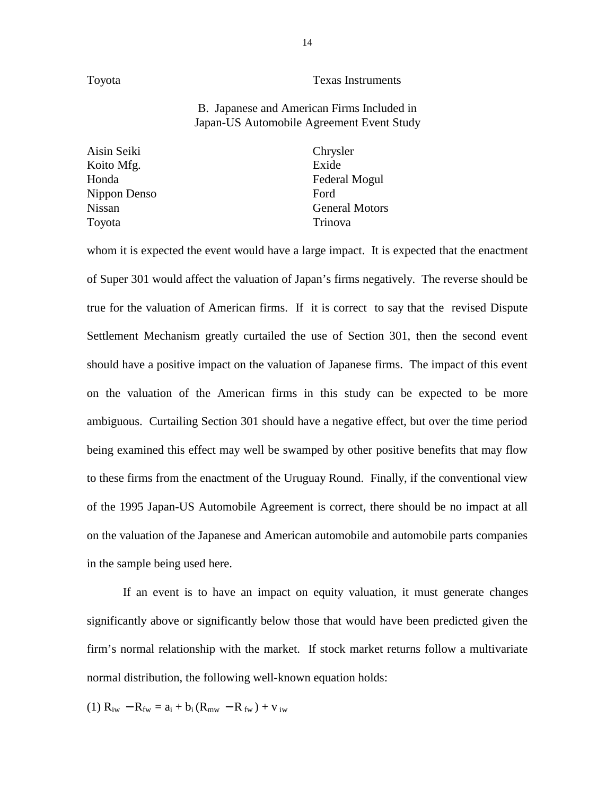#### Toyota Texas Instruments

### B. Japanese and American Firms Included in Japan-US Automobile Agreement Event Study

Aisin Seiki Chrysler Koito Mfg. **Exide** Nippon Denso Ford Toyota Trinova

Honda Federal Mogul Nissan General Motors

whom it is expected the event would have a large impact. It is expected that the enactment of Super 301 would affect the valuation of Japan's firms negatively. The reverse should be true for the valuation of American firms. If it is correct to say that the revised Dispute Settlement Mechanism greatly curtailed the use of Section 301, then the second event should have a positive impact on the valuation of Japanese firms. The impact of this event on the valuation of the American firms in this study can be expected to be more ambiguous. Curtailing Section 301 should have a negative effect, but over the time period being examined this effect may well be swamped by other positive benefits that may flow to these firms from the enactment of the Uruguay Round. Finally, if the conventional view of the 1995 Japan-US Automobile Agreement is correct, there should be no impact at all on the valuation of the Japanese and American automobile and automobile parts companies in the sample being used here.

If an event is to have an impact on equity valuation, it must generate changes significantly above or significantly below those that would have been predicted given the firm's normal relationship with the market. If stock market returns follow a multivariate normal distribution, the following well-known equation holds:

(1)  $R_{iw} - R_{fw} = a_i + b_i (R_{mw} - R_{fw}) + v_{iw}$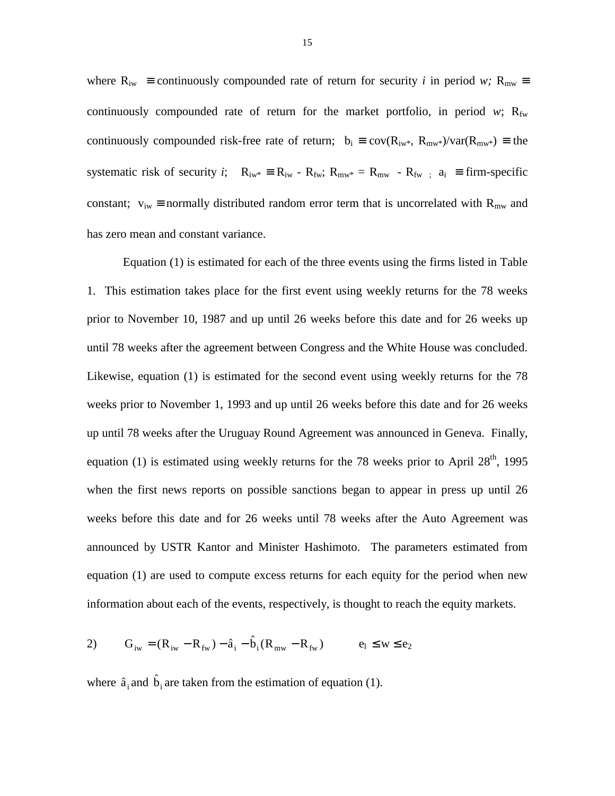where  $R_{iw}$  = continuously compounded rate of return for security *i* in period *w*;  $R_{mw}$  = continuously compounded rate of return for the market portfolio, in period  $w$ ;  $R_{fw}$ continuously compounded risk-free rate of return;  $b_i \equiv cov(R_{iw^*}, R_{mw^*})/var(R_{mw^*}) \equiv$  the systematic risk of security *i*;  $R_{iw^*} = R_{iw} - R_{fw}$ ;  $R_{mw^*} = R_{mw} - R_{fw}$  :  $a_i = \text{firm-specific}$ constant;  $v_{iw} \equiv$  normally distributed random error term that is uncorrelated with  $R_{mw}$  and has zero mean and constant variance.

Equation (1) is estimated for each of the three events using the firms listed in Table 1. This estimation takes place for the first event using weekly returns for the 78 weeks prior to November 10, 1987 and up until 26 weeks before this date and for 26 weeks up until 78 weeks after the agreement between Congress and the White House was concluded. Likewise, equation (1) is estimated for the second event using weekly returns for the 78 weeks prior to November 1, 1993 and up until 26 weeks before this date and for 26 weeks up until 78 weeks after the Uruguay Round Agreement was announced in Geneva. Finally, equation (1) is estimated using weekly returns for the 78 weeks prior to April  $28<sup>th</sup>$ , 1995 when the first news reports on possible sanctions began to appear in press up until 26 weeks before this date and for 26 weeks until 78 weeks after the Auto Agreement was announced by USTR Kantor and Minister Hashimoto. The parameters estimated from equation (1) are used to compute excess returns for each equity for the period when new information about each of the events, respectively, is thought to reach the equity markets.

2) 
$$
G_{iw} = (R_{iw} - R_{fw}) - \hat{a}_i - \hat{b}_i (R_{mw} - R_{fw})
$$
  $e_l \le w \le e_2$ 

where  $\hat{a}_i$  and  $\hat{b}_i$  are taken from the estimation of equation (1).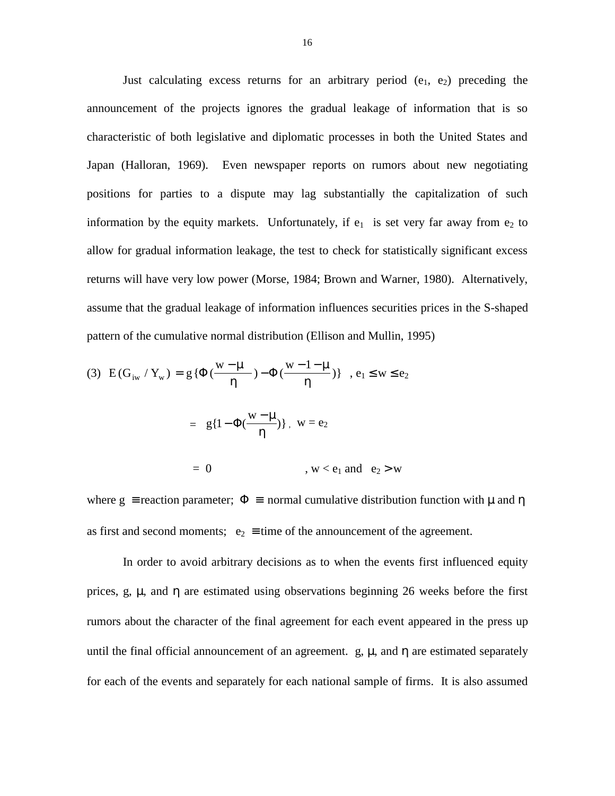Just calculating excess returns for an arbitrary period  $(e_1, e_2)$  preceding the announcement of the projects ignores the gradual leakage of information that is so characteristic of both legislative and diplomatic processes in both the United States and Japan (Halloran, 1969). Even newspaper reports on rumors about new negotiating positions for parties to a dispute may lag substantially the capitalization of such information by the equity markets. Unfortunately, if  $e_1$  is set very far away from  $e_2$  to allow for gradual information leakage, the test to check for statistically significant excess returns will have very low power (Morse, 1984; Brown and Warner, 1980). Alternatively, assume that the gradual leakage of information influences securities prices in the S-shaped pattern of the cumulative normal distribution (Ellison and Mullin, 1995)

(3) 
$$
E(G_{iw} / Y_w) = g\{\Phi(\frac{w - \mu}{\eta}) - \Phi(\frac{w - 1 - \mu}{\eta})\}
$$
,  $e_1 \le w \le e_2$ 

= 
$$
g\{1-\Phi(\frac{w-\mu}{\eta})\}
$$
,  $w=e_2$ 

$$
= 0 \qquad , \, w < e_1 \text{ and } e_2 > w
$$

where g = reaction parameter;  $\Phi$  = normal cumulative distribution function with  $\mu$  and  $\eta$ as first and second moments;  $e_2 \equiv \text{time of the announcement of the agreement.}$ 

In order to avoid arbitrary decisions as to when the events first influenced equity prices, g,  $\mu$ , and  $\eta$  are estimated using observations beginning 26 weeks before the first rumors about the character of the final agreement for each event appeared in the press up until the final official announcement of an agreement. g,  $\mu$ , and  $\eta$  are estimated separately for each of the events and separately for each national sample of firms. It is also assumed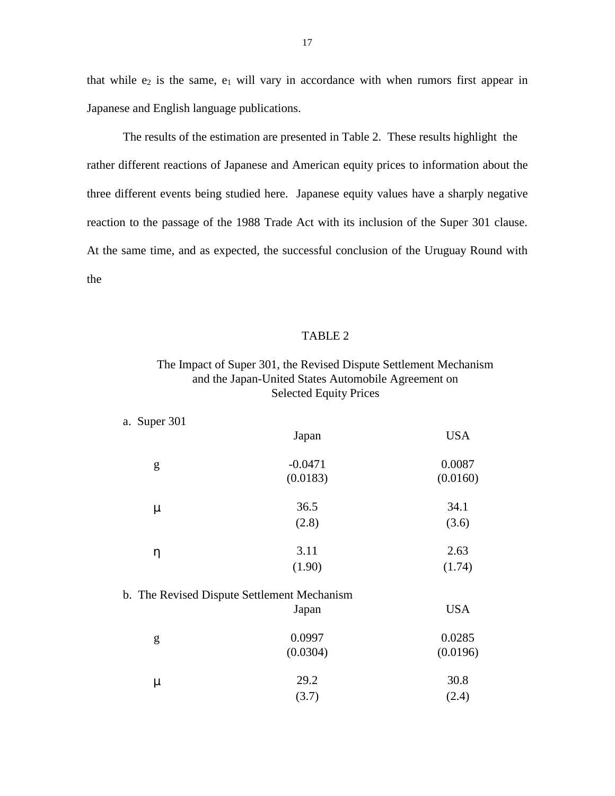that while  $e_2$  is the same,  $e_1$  will vary in accordance with when rumors first appear in Japanese and English language publications.

The results of the estimation are presented in Table 2. These results highlight the rather different reactions of Japanese and American equity prices to information about the three different events being studied here. Japanese equity values have a sharply negative reaction to the passage of the 1988 Trade Act with its inclusion of the Super 301 clause. At the same time, and as expected, the successful conclusion of the Uruguay Round with the

#### TABLE 2

## The Impact of Super 301, the Revised Dispute Settlement Mechanism and the Japan-United States Automobile Agreement on Selected Equity Prices

| a. Super 301 |                                             |            |
|--------------|---------------------------------------------|------------|
|              | Japan                                       | <b>USA</b> |
| g            | $-0.0471$                                   | 0.0087     |
|              | (0.0183)                                    | (0.0160)   |
| $\mu$        | 36.5                                        | 34.1       |
|              | (2.8)                                       | (3.6)      |
| η            | 3.11                                        | 2.63       |
|              | (1.90)                                      | (1.74)     |
|              | b. The Revised Dispute Settlement Mechanism |            |
|              | Japan                                       | <b>USA</b> |
| g            | 0.0997                                      | 0.0285     |
|              | (0.0304)                                    | (0.0196)   |
| μ            | 29.2                                        | 30.8       |
|              | (3.7)                                       | (2.4)      |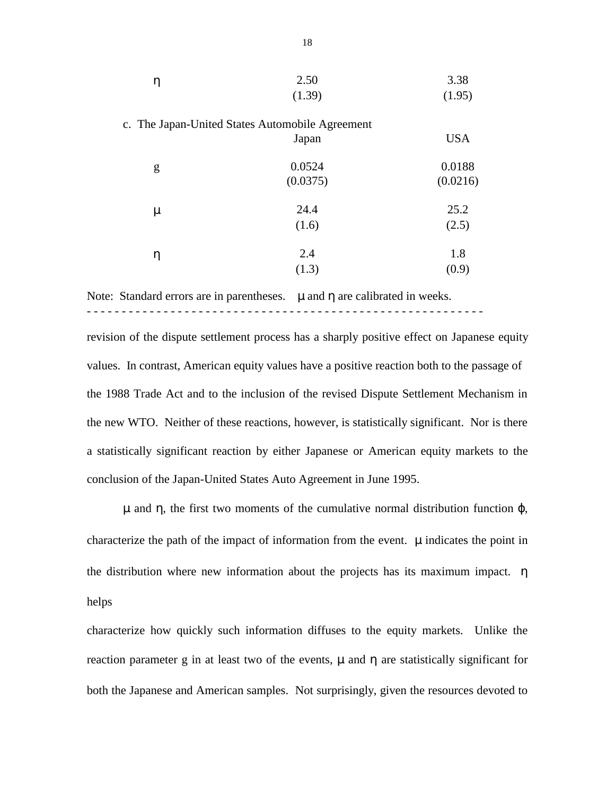| η | 2.50                                            | 3.38       |
|---|-------------------------------------------------|------------|
|   | (1.39)                                          | (1.95)     |
|   | c. The Japan-United States Automobile Agreement |            |
|   | Japan                                           | <b>USA</b> |
| g | 0.0524                                          | 0.0188     |
|   | (0.0375)                                        | (0.0216)   |
| μ | 24.4                                            | 25.2       |
|   | (1.6)                                           | (2.5)      |
| η | 2.4                                             | 1.8        |
|   | (1.3)                                           | (0.9)      |
|   |                                                 |            |

Note: Standard errors are in parentheses.  $\mu$  and  $\eta$  are calibrated in weeks. - - - - - - - - - - - - - - - - - - - - - - - - - - - - - - - - - - - - - - - - - - - - - - - - - - - - - - - - -

revision of the dispute settlement process has a sharply positive effect on Japanese equity values. In contrast, American equity values have a positive reaction both to the passage of the 1988 Trade Act and to the inclusion of the revised Dispute Settlement Mechanism in the new WTO. Neither of these reactions, however, is statistically significant. Nor is there a statistically significant reaction by either Japanese or American equity markets to the conclusion of the Japan-United States Auto Agreement in June 1995.

 $\mu$  and η, the first two moments of the cumulative normal distribution function  $\varphi$ , characterize the path of the impact of information from the event.  $\mu$  indicates the point in the distribution where new information about the projects has its maximum impact.  $\eta$ helps

characterize how quickly such information diffuses to the equity markets. Unlike the reaction parameter g in at least two of the events,  $\mu$  and  $\eta$  are statistically significant for both the Japanese and American samples. Not surprisingly, given the resources devoted to

18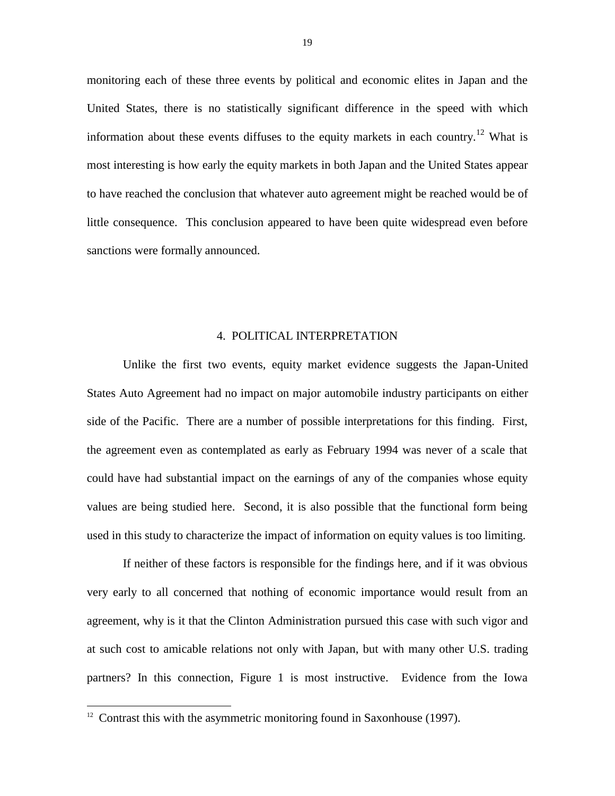monitoring each of these three events by political and economic elites in Japan and the United States, there is no statistically significant difference in the speed with which information about these events diffuses to the equity markets in each country.<sup>12</sup> What is most interesting is how early the equity markets in both Japan and the United States appear to have reached the conclusion that whatever auto agreement might be reached would be of little consequence. This conclusion appeared to have been quite widespread even before sanctions were formally announced.

#### 4. POLITICAL INTERPRETATION

Unlike the first two events, equity market evidence suggests the Japan-United States Auto Agreement had no impact on major automobile industry participants on either side of the Pacific. There are a number of possible interpretations for this finding. First, the agreement even as contemplated as early as February 1994 was never of a scale that could have had substantial impact on the earnings of any of the companies whose equity values are being studied here. Second, it is also possible that the functional form being used in this study to characterize the impact of information on equity values is too limiting.

If neither of these factors is responsible for the findings here, and if it was obvious very early to all concerned that nothing of economic importance would result from an agreement, why is it that the Clinton Administration pursued this case with such vigor and at such cost to amicable relations not only with Japan, but with many other U.S. trading partners? In this connection, Figure 1 is most instructive. Evidence from the Iowa

 $12$  Contrast this with the asymmetric monitoring found in Saxonhouse (1997).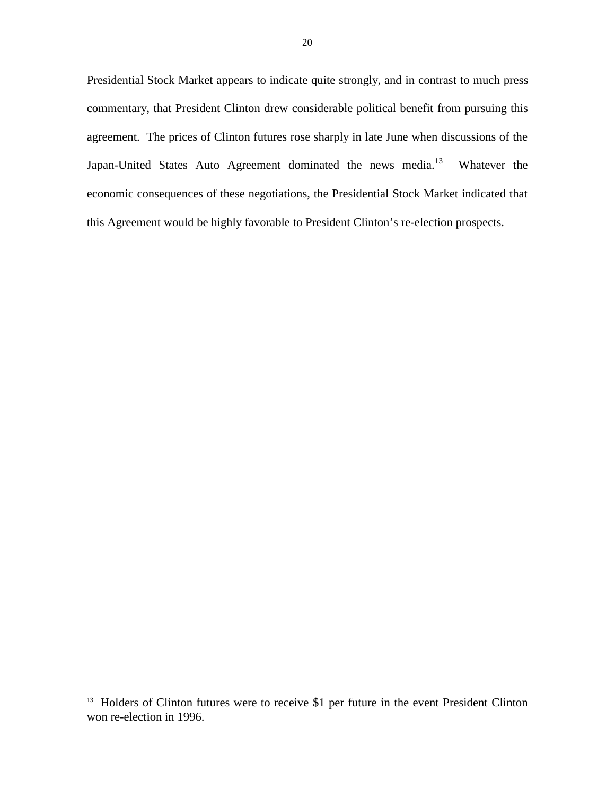Presidential Stock Market appears to indicate quite strongly, and in contrast to much press commentary, that President Clinton drew considerable political benefit from pursuing this agreement. The prices of Clinton futures rose sharply in late June when discussions of the Japan-United States Auto Agreement dominated the news media.<sup>13</sup> Whatever the economic consequences of these negotiations, the Presidential Stock Market indicated that this Agreement would be highly favorable to President Clinton's re-election prospects.

 $\overline{a}$ 

<sup>&</sup>lt;sup>13</sup> Holders of Clinton futures were to receive \$1 per future in the event President Clinton won re-election in 1996.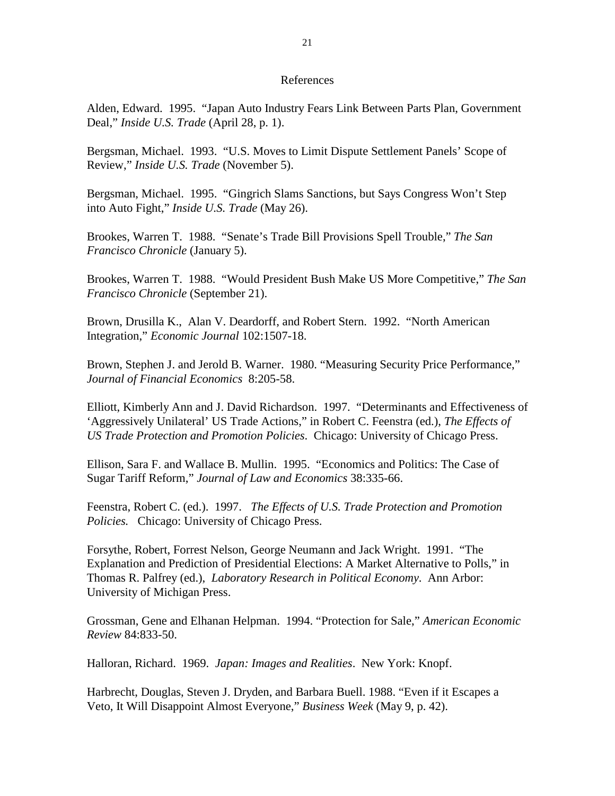#### References

Alden, Edward. 1995. "Japan Auto Industry Fears Link Between Parts Plan, Government Deal," *Inside U.S. Trade* (April 28, p. 1).

Bergsman, Michael. 1993. "U.S. Moves to Limit Dispute Settlement Panels' Scope of Review," *Inside U.S. Trade* (November 5).

Bergsman, Michael. 1995. "Gingrich Slams Sanctions, but Says Congress Won't Step into Auto Fight," *Inside U.S. Trade* (May 26).

Brookes, Warren T. 1988. "Senate's Trade Bill Provisions Spell Trouble," *The San Francisco Chronicle* (January 5).

Brookes, Warren T. 1988. "Would President Bush Make US More Competitive," *The San Francisco Chronicle* (September 21).

Brown, Drusilla K., Alan V. Deardorff, and Robert Stern. 1992. "North American Integration," *Economic Journal* 102:1507-18.

Brown, Stephen J. and Jerold B. Warner. 1980. "Measuring Security Price Performance," *Journal of Financial Economics* 8:205-58.

Elliott, Kimberly Ann and J. David Richardson. 1997. "Determinants and Effectiveness of 'Aggressively Unilateral' US Trade Actions," in Robert C. Feenstra (ed.), *The Effects of US Trade Protection and Promotion Policies*. Chicago: University of Chicago Press.

Ellison, Sara F. and Wallace B. Mullin. 1995. "Economics and Politics: The Case of Sugar Tariff Reform," *Journal of Law and Economics* 38:335-66.

Feenstra, Robert C. (ed.). 1997. *The Effects of U.S. Trade Protection and Promotion Policies.* Chicago: University of Chicago Press.

Forsythe, Robert, Forrest Nelson, George Neumann and Jack Wright. 1991. "The Explanation and Prediction of Presidential Elections: A Market Alternative to Polls," in Thomas R. Palfrey (ed.), *Laboratory Research in Political Economy*. Ann Arbor: University of Michigan Press.

Grossman, Gene and Elhanan Helpman. 1994. "Protection for Sale," *American Economic Review* 84:833-50.

Halloran, Richard. 1969. *Japan: Images and Realities*. New York: Knopf.

Harbrecht, Douglas, Steven J. Dryden, and Barbara Buell. 1988. "Even if it Escapes a Veto, It Will Disappoint Almost Everyone," *Business Week* (May 9, p. 42).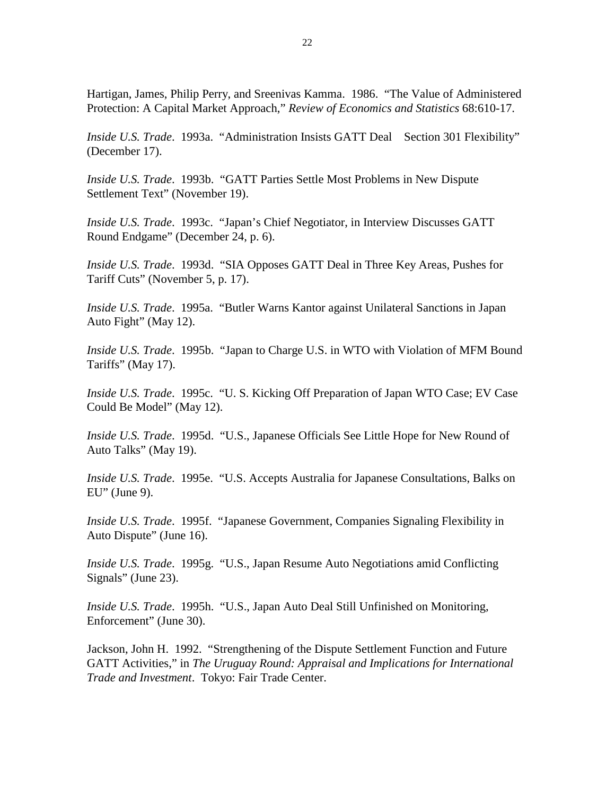Hartigan, James, Philip Perry, and Sreenivas Kamma. 1986. "The Value of Administered Protection: A Capital Market Approach," *Review of Economics and Statistics* 68:610-17.

*Inside U.S. Trade*. 1993a. "Administration Insists GATT Deal Section 301 Flexibility" (December 17).

*Inside U.S. Trade*. 1993b. "GATT Parties Settle Most Problems in New Dispute Settlement Text" (November 19).

*Inside U.S. Trade*. 1993c. "Japan's Chief Negotiator, in Interview Discusses GATT Round Endgame" (December 24, p. 6).

*Inside U.S. Trade*. 1993d. "SIA Opposes GATT Deal in Three Key Areas, Pushes for Tariff Cuts" (November 5, p. 17).

*Inside U.S. Trade*. 1995a. "Butler Warns Kantor against Unilateral Sanctions in Japan Auto Fight" (May 12).

*Inside U.S. Trade*. 1995b. "Japan to Charge U.S. in WTO with Violation of MFM Bound Tariffs" (May 17).

*Inside U.S. Trade*. 1995c. "U. S. Kicking Off Preparation of Japan WTO Case; EV Case Could Be Model" (May 12).

*Inside U.S. Trade*. 1995d. "U.S., Japanese Officials See Little Hope for New Round of Auto Talks" (May 19).

*Inside U.S. Trade*. 1995e. "U.S. Accepts Australia for Japanese Consultations, Balks on  $EU''$  (June 9).

*Inside U.S. Trade*. 1995f. "Japanese Government, Companies Signaling Flexibility in Auto Dispute" (June 16).

*Inside U.S. Trade*. 1995g. "U.S., Japan Resume Auto Negotiations amid Conflicting Signals" (June 23).

*Inside U.S. Trade*. 1995h. "U.S., Japan Auto Deal Still Unfinished on Monitoring, Enforcement" (June 30).

Jackson, John H. 1992. "Strengthening of the Dispute Settlement Function and Future GATT Activities," in *The Uruguay Round: Appraisal and Implications for International Trade and Investment*. Tokyo: Fair Trade Center.